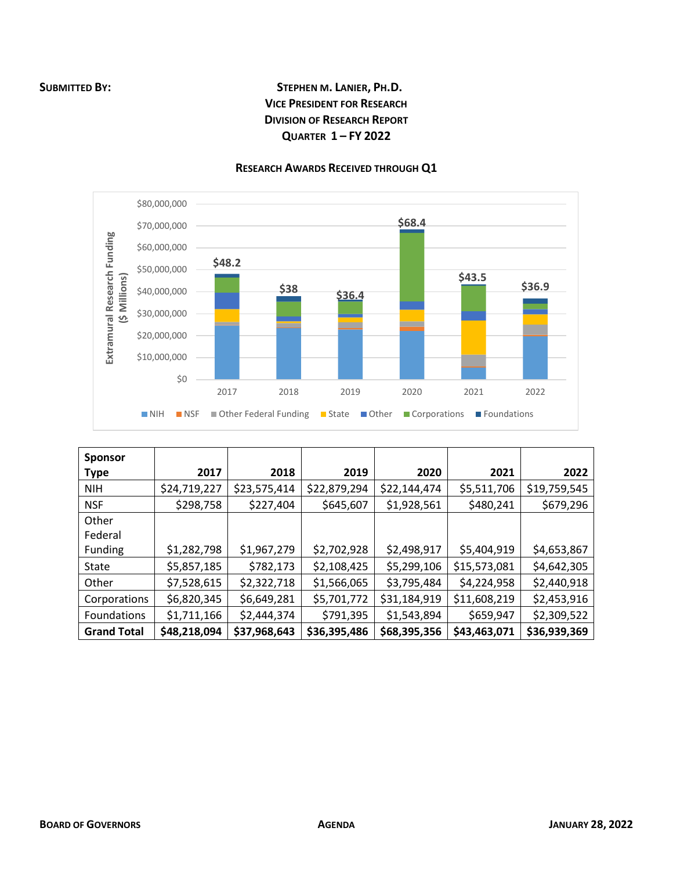## **SUBMITTED BY: STEPHEN M. LANIER, PH.D. VICE PRESIDENT FOR RESEARCH DIVISION OF RESEARCH REPORT QUARTER 1 – FY 2022**



## **RESEARCH AWARDS RECEIVED THROUGH Q1**

| <b>Sponsor</b>     |              |              |              |              |              |              |
|--------------------|--------------|--------------|--------------|--------------|--------------|--------------|
| <b>Type</b>        | 2017         | 2018         | 2019         | 2020         | 2021         | 2022         |
| <b>NIH</b>         | \$24,719,227 | \$23,575,414 | \$22,879,294 | \$22,144,474 | \$5,511,706  | \$19,759,545 |
| <b>NSF</b>         | \$298,758    | \$227,404    | \$645,607    | \$1,928,561  | \$480,241    | \$679,296    |
| Other              |              |              |              |              |              |              |
| Federal            |              |              |              |              |              |              |
| Funding            | \$1,282,798  | \$1,967,279  | \$2,702,928  | \$2,498,917  | \$5,404,919  | \$4,653,867  |
| State              | \$5,857,185  | \$782,173    | \$2,108,425  | \$5,299,106  | \$15,573,081 | \$4,642,305  |
| Other              | \$7,528,615  | \$2,322,718  | \$1,566,065  | \$3,795,484  | \$4,224,958  | \$2,440,918  |
| Corporations       | \$6,820,345  | \$6,649,281  | \$5,701,772  | \$31,184,919 | \$11,608,219 | \$2,453,916  |
| Foundations        | \$1,711,166  | \$2,444,374  | \$791,395    | \$1,543,894  | \$659,947    | \$2,309,522  |
| <b>Grand Total</b> | \$48,218,094 | \$37,968,643 | \$36,395,486 | \$68,395,356 | \$43,463,071 | \$36,939,369 |